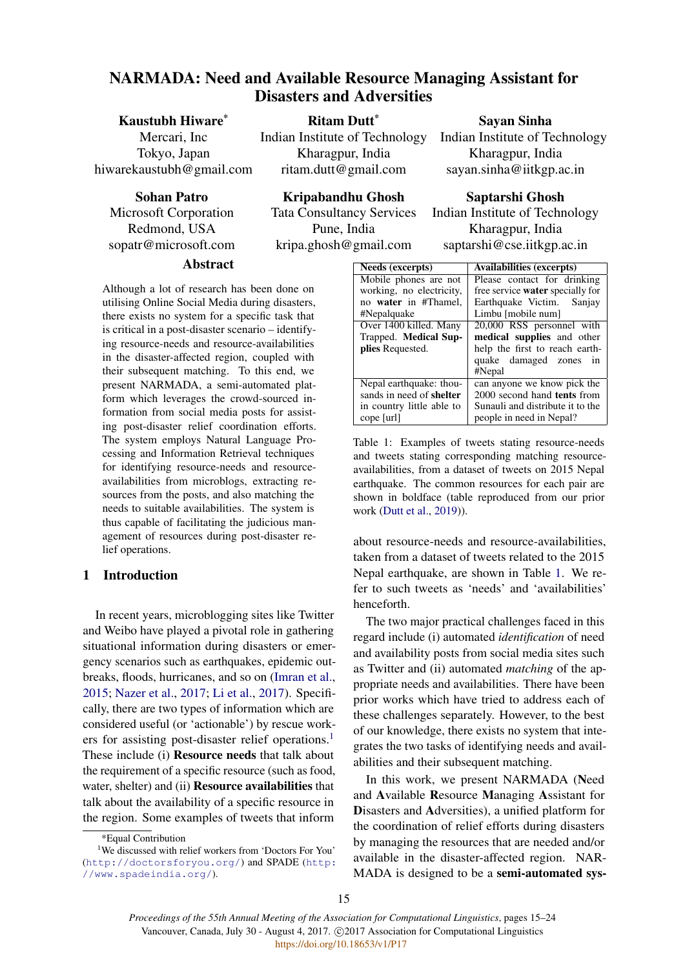# NARMADA: Need and Available Resource Managing Assistant for Disasters and Adversities

Ritam Dutt\* Indian Institute of Technology Kharagpur, India ritam.dutt@gmail.com

# Kaustubh Hiware\*

Mercari, Inc Tokyo, Japan hiwarekaustubh@gmail.com

Sohan Patro

Microsoft Corporation Redmond, USA sopatr@microsoft.com

## Abstract

Although a lot of research has been done on utilising Online Social Media during disasters, there exists no system for a specific task that is critical in a post-disaster scenario – identifying resource-needs and resource-availabilities in the disaster-affected region, coupled with their subsequent matching. To this end, we present NARMADA, a semi-automated platform which leverages the crowd-sourced information from social media posts for assisting post-disaster relief coordination efforts. The system employs Natural Language Processing and Information Retrieval techniques for identifying resource-needs and resourceavailabilities from microblogs, extracting resources from the posts, and also matching the needs to suitable availabilities. The system is thus capable of facilitating the judicious management of resources during post-disaster relief operations.

# 1 Introduction

In recent years, microblogging sites like Twitter and Weibo have played a pivotal role in gathering situational information during disasters or emergency scenarios such as earthquakes, epidemic outbreaks, floods, hurricanes, and so on [\(Imran et al.,](#page-8-0) [2015;](#page-8-0) [Nazer et al.,](#page-9-0) [2017;](#page-9-0) [Li et al.,](#page-8-1) [2017\)](#page-8-1). Specifically, there are two types of information which are considered useful (or 'actionable') by rescue work-ers for assisting post-disaster relief operations.<sup>[1](#page-0-0)</sup> These include (i) Resource needs that talk about the requirement of a specific resource (such as food, water, shelter) and (ii) **Resource availabilities** that talk about the availability of a specific resource in the region. Some examples of tweets that inform

15

Sayan Sinha

Indian Institute of Technology Kharagpur, India sayan.sinha@iitkgp.ac.in

# Kripabandhu Ghosh

Tata Consultancy Services Pune, India kripa.ghosh@gmail.com

## Saptarshi Ghosh

Indian Institute of Technology Kharagpur, India saptarshi@cse.iitkgp.ac.in

<span id="page-0-1"></span>

| <b>Needs (excerpts)</b>         | <b>Availabilities (excerpts)</b>        |
|---------------------------------|-----------------------------------------|
| Mobile phones are not           | Please contact for drinking             |
| working, no electricity,        | free service <b>water</b> specially for |
| no water in #Thamel,            | Earthquake Victim. Sanjay               |
| #Nepalquake                     | Limbu [mobile num]                      |
| Over 1400 killed. Many          | 20,000 RSS personnel with               |
| Trapped. Medical Sup-           | medical supplies and other              |
| plies Requested.                | help the first to reach earth-          |
|                                 | quake damaged zones<br>1n               |
|                                 | #Nepal                                  |
| Nepal earthquake: thou-         | can anyone we know pick the             |
| sands in need of <b>shelter</b> | 2000 second hand tents from             |
| in country little able to       | Sunauli and distribute it to the        |
| cope [url]                      | people in need in Nepal?                |

Table 1: Examples of tweets stating resource-needs and tweets stating corresponding matching resourceavailabilities, from a dataset of tweets on 2015 Nepal earthquake. The common resources for each pair are shown in boldface (table reproduced from our prior work [\(Dutt et al.,](#page-8-2) [2019\)](#page-8-2)).

about resource-needs and resource-availabilities, taken from a dataset of tweets related to the 2015 Nepal earthquake, are shown in Table [1.](#page-0-1) We refer to such tweets as 'needs' and 'availabilities' henceforth.

The two major practical challenges faced in this regard include (i) automated *identification* of need and availability posts from social media sites such as Twitter and (ii) automated *matching* of the appropriate needs and availabilities. There have been prior works which have tried to address each of these challenges separately. However, to the best of our knowledge, there exists no system that integrates the two tasks of identifying needs and availabilities and their subsequent matching.

In this work, we present NARMADA (Need and Available Resource Managing Assistant for Disasters and Adversities), a unified platform for the coordination of relief efforts during disasters by managing the resources that are needed and/or available in the disaster-affected region. NAR-MADA is designed to be a semi-automated sys-

<span id="page-0-0"></span><sup>\*</sup>Equal Contribution

<sup>&</sup>lt;sup>1</sup>We discussed with relief workers from 'Doctors For You' (<http://doctorsforyou.org/>) and SPADE ([http:](http://www. spadeindia.org/) [//www.spadeindia.org/](http://www. spadeindia.org/)).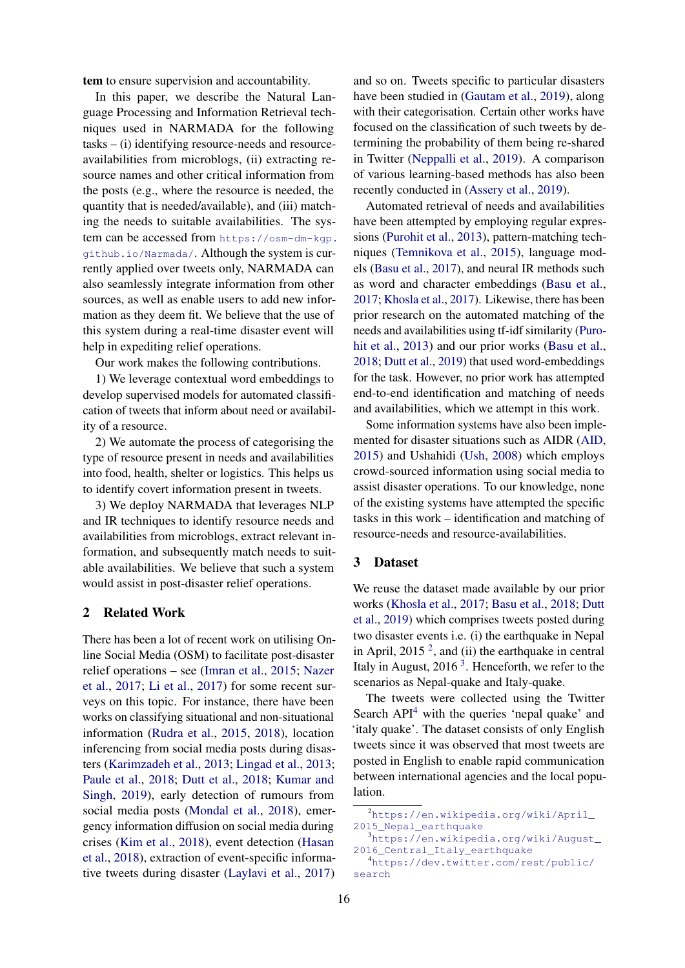tem to ensure supervision and accountability.

In this paper, we describe the Natural Language Processing and Information Retrieval techniques used in NARMADA for the following tasks – (i) identifying resource-needs and resourceavailabilities from microblogs, (ii) extracting resource names and other critical information from the posts (e.g., where the resource is needed, the quantity that is needed/available), and (iii) matching the needs to suitable availabilities. The system can be accessed from [https://osm-dm-kgp.](https://osm-dm-kgp.github.io/Narmada/) [github.io/Narmada/](https://osm-dm-kgp.github.io/Narmada/). Although the system is currently applied over tweets only, NARMADA can also seamlessly integrate information from other sources, as well as enable users to add new information as they deem fit. We believe that the use of this system during a real-time disaster event will help in expediting relief operations.

Our work makes the following contributions.

1) We leverage contextual word embeddings to develop supervised models for automated classification of tweets that inform about need or availability of a resource.

2) We automate the process of categorising the type of resource present in needs and availabilities into food, health, shelter or logistics. This helps us to identify covert information present in tweets.

3) We deploy NARMADA that leverages NLP and IR techniques to identify resource needs and availabilities from microblogs, extract relevant information, and subsequently match needs to suitable availabilities. We believe that such a system would assist in post-disaster relief operations.

### 2 Related Work

There has been a lot of recent work on utilising Online Social Media (OSM) to facilitate post-disaster relief operations – see [\(Imran et al.,](#page-8-0) [2015;](#page-8-0) [Nazer](#page-9-0) [et al.,](#page-9-0) [2017;](#page-9-0) [Li et al.,](#page-8-1) [2017\)](#page-8-1) for some recent surveys on this topic. For instance, there have been works on classifying situational and non-situational information [\(Rudra et al.,](#page-9-1) [2015,](#page-9-1) [2018\)](#page-9-2), location inferencing from social media posts during disasters [\(Karimzadeh et al.,](#page-8-3) [2013;](#page-8-3) [Lingad et al.,](#page-9-3) [2013;](#page-9-3) [Paule et al.,](#page-9-4) [2018;](#page-9-4) [Dutt et al.,](#page-8-4) [2018;](#page-8-4) [Kumar and](#page-8-5) [Singh,](#page-8-5) [2019\)](#page-8-5), early detection of rumours from social media posts [\(Mondal et al.,](#page-9-5) [2018\)](#page-9-5), emergency information diffusion on social media during crises [\(Kim et al.,](#page-8-6) [2018\)](#page-8-6), event detection [\(Hasan](#page-8-7) [et al.,](#page-8-7) [2018\)](#page-8-7), extraction of event-specific informative tweets during disaster [\(Laylavi et al.,](#page-8-8) [2017\)](#page-8-8)

and so on. Tweets specific to particular disasters have been studied in [\(Gautam et al.,](#page-8-9) [2019\)](#page-8-9), along with their categorisation. Certain other works have focused on the classification of such tweets by determining the probability of them being re-shared in Twitter [\(Neppalli et al.,](#page-9-6) [2019\)](#page-9-6). A comparison of various learning-based methods has also been recently conducted in [\(Assery et al.,](#page-8-10) [2019\)](#page-8-10).

Automated retrieval of needs and availabilities have been attempted by employing regular expressions [\(Purohit et al.,](#page-9-7) [2013\)](#page-9-7), pattern-matching techniques [\(Temnikova et al.,](#page-9-8) [2015\)](#page-9-8), language models [\(Basu et al.,](#page-8-11) [2017\)](#page-8-11), and neural IR methods such as word and character embeddings [\(Basu et al.,](#page-8-11) [2017;](#page-8-11) [Khosla et al.,](#page-8-12) [2017\)](#page-8-12). Likewise, there has been prior research on the automated matching of the needs and availabilities using tf-idf similarity [\(Puro](#page-9-7)[hit et al.,](#page-9-7) [2013\)](#page-9-7) and our prior works [\(Basu et al.,](#page-8-13) [2018;](#page-8-13) [Dutt et al.,](#page-8-2) [2019\)](#page-8-2) that used word-embeddings for the task. However, no prior work has attempted end-to-end identification and matching of needs and availabilities, which we attempt in this work.

Some information systems have also been implemented for disaster situations such as AIDR [\(AID,](#page-8-14) [2015\)](#page-8-14) and Ushahidi [\(Ush,](#page-8-15) [2008\)](#page-8-15) which employs crowd-sourced information using social media to assist disaster operations. To our knowledge, none of the existing systems have attempted the specific tasks in this work – identification and matching of resource-needs and resource-availabilities.

## 3 Dataset

We reuse the dataset made available by our prior works [\(Khosla et al.,](#page-8-12) [2017;](#page-8-12) [Basu et al.,](#page-8-13) [2018;](#page-8-13) [Dutt](#page-8-2) [et al.,](#page-8-2) [2019\)](#page-8-2) which comprises tweets posted during two disaster events i.e. (i) the earthquake in Nepal in April, [2](#page-1-0)015<sup>2</sup>, and (ii) the earthquake in central Italy in August,  $2016<sup>3</sup>$  $2016<sup>3</sup>$  $2016<sup>3</sup>$ . Henceforth, we refer to the scenarios as Nepal-quake and Italy-quake.

The tweets were collected using the Twitter Search  $API<sup>4</sup>$  $API<sup>4</sup>$  $API<sup>4</sup>$  with the queries 'nepal quake' and 'italy quake'. The dataset consists of only English tweets since it was observed that most tweets are posted in English to enable rapid communication between international agencies and the local population.

<span id="page-1-1"></span><span id="page-1-0"></span><sup>2</sup>[https://en.wikipedia.org/wiki/April\\_](https://en.wikipedia.org/wiki/April_2015_Nepal_earthquake) [2015\\_Nepal\\_earthquake](https://en.wikipedia.org/wiki/April_2015_Nepal_earthquake) <sup>3</sup>[https://en.wikipedia.org/wiki/August\\_](https://en.wikipedia.org/wiki/August_2016_Central_Italy_earthquake) [2016\\_Central\\_Italy\\_earthquake](https://en.wikipedia.org/wiki/August_2016_Central_Italy_earthquake)

<span id="page-1-2"></span><sup>4</sup>[https://dev.twitter.com/rest/public/](https://dev.twitter.com/rest/public/search) [search](https://dev.twitter.com/rest/public/search)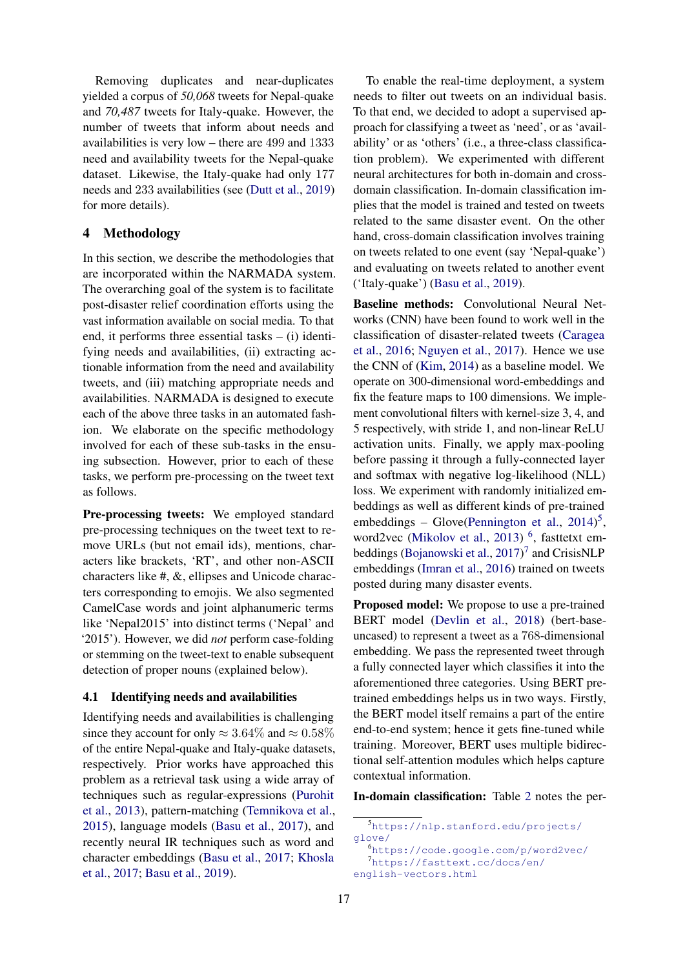Removing duplicates and near-duplicates yielded a corpus of *50,068* tweets for Nepal-quake and *70,487* tweets for Italy-quake. However, the number of tweets that inform about needs and availabilities is very low – there are 499 and 1333 need and availability tweets for the Nepal-quake dataset. Likewise, the Italy-quake had only 177 needs and 233 availabilities (see [\(Dutt et al.,](#page-8-2) [2019\)](#page-8-2) for more details).

# 4 Methodology

In this section, we describe the methodologies that are incorporated within the NARMADA system. The overarching goal of the system is to facilitate post-disaster relief coordination efforts using the vast information available on social media. To that end, it performs three essential tasks  $-$  (i) identifying needs and availabilities, (ii) extracting actionable information from the need and availability tweets, and (iii) matching appropriate needs and availabilities. NARMADA is designed to execute each of the above three tasks in an automated fashion. We elaborate on the specific methodology involved for each of these sub-tasks in the ensuing subsection. However, prior to each of these tasks, we perform pre-processing on the tweet text as follows.

Pre-processing tweets: We employed standard pre-processing techniques on the tweet text to remove URLs (but not email ids), mentions, characters like brackets, 'RT', and other non-ASCII characters like #, &, ellipses and Unicode characters corresponding to emojis. We also segmented CamelCase words and joint alphanumeric terms like 'Nepal2015' into distinct terms ('Nepal' and '2015'). However, we did *not* perform case-folding or stemming on the tweet-text to enable subsequent detection of proper nouns (explained below).

#### 4.1 Identifying needs and availabilities

Identifying needs and availabilities is challenging since they account for only  $\approx 3.64\%$  and  $\approx 0.58\%$ of the entire Nepal-quake and Italy-quake datasets, respectively. Prior works have approached this problem as a retrieval task using a wide array of techniques such as regular-expressions [\(Purohit](#page-9-7) [et al.,](#page-9-7) [2013\)](#page-9-7), pattern-matching [\(Temnikova et al.,](#page-9-8) [2015\)](#page-9-8), language models [\(Basu et al.,](#page-8-11) [2017\)](#page-8-11), and recently neural IR techniques such as word and character embeddings [\(Basu et al.,](#page-8-11) [2017;](#page-8-11) [Khosla](#page-8-12) [et al.,](#page-8-12) [2017;](#page-8-12) [Basu et al.,](#page-8-16) [2019\)](#page-8-16).

To enable the real-time deployment, a system needs to filter out tweets on an individual basis. To that end, we decided to adopt a supervised approach for classifying a tweet as 'need', or as 'availability' or as 'others' (i.e., a three-class classification problem). We experimented with different neural architectures for both in-domain and crossdomain classification. In-domain classification implies that the model is trained and tested on tweets related to the same disaster event. On the other hand, cross-domain classification involves training on tweets related to one event (say 'Nepal-quake') and evaluating on tweets related to another event ('Italy-quake') [\(Basu et al.,](#page-8-16) [2019\)](#page-8-16).

Baseline methods: Convolutional Neural Networks (CNN) have been found to work well in the classification of disaster-related tweets [\(Caragea](#page-8-17) [et al.,](#page-8-17) [2016;](#page-8-17) [Nguyen et al.,](#page-9-9) [2017\)](#page-9-9). Hence we use the CNN of [\(Kim,](#page-8-18) [2014\)](#page-8-18) as a baseline model. We operate on 300-dimensional word-embeddings and fix the feature maps to 100 dimensions. We implement convolutional filters with kernel-size 3, 4, and 5 respectively, with stride 1, and non-linear ReLU activation units. Finally, we apply max-pooling before passing it through a fully-connected layer and softmax with negative log-likelihood (NLL) loss. We experiment with randomly initialized embeddings as well as different kinds of pre-trained embeddings - Glove[\(Pennington et al.,](#page-9-10) [2014\)](#page-9-10)<sup>[5](#page-2-0)</sup>, word2vec [\(Mikolov et al.,](#page-9-11) [2013\)](#page-9-11)<sup>[6](#page-2-1)</sup>, fasttetxt em-beddings [\(Bojanowski et al.,](#page-8-19) [2017\)](#page-8-19)<sup>[7](#page-2-2)</sup> and CrisisNLP embeddings [\(Imran et al.,](#page-8-20) [2016\)](#page-8-20) trained on tweets posted during many disaster events.

Proposed model: We propose to use a pre-trained BERT model [\(Devlin et al.,](#page-8-21) [2018\)](#page-8-21) (bert-baseuncased) to represent a tweet as a 768-dimensional embedding. We pass the represented tweet through a fully connected layer which classifies it into the aforementioned three categories. Using BERT pretrained embeddings helps us in two ways. Firstly, the BERT model itself remains a part of the entire end-to-end system; hence it gets fine-tuned while training. Moreover, BERT uses multiple bidirectional self-attention modules which helps capture contextual information.

In-domain classification: Table [2](#page-3-0) notes the per-

<span id="page-2-2"></span><span id="page-2-1"></span><sup>6</sup><https://code.google.com/p/word2vec/> <sup>7</sup>[https://fasttext.cc/docs/en/](https://fasttext.cc/docs/en/english-vectors.html)

```
english-vectors.html
```
<span id="page-2-0"></span><sup>5</sup>[https://nlp.stanford.edu/projects/](https://nlp.stanford.edu/projects/glove/) [glove/](https://nlp.stanford.edu/projects/glove/)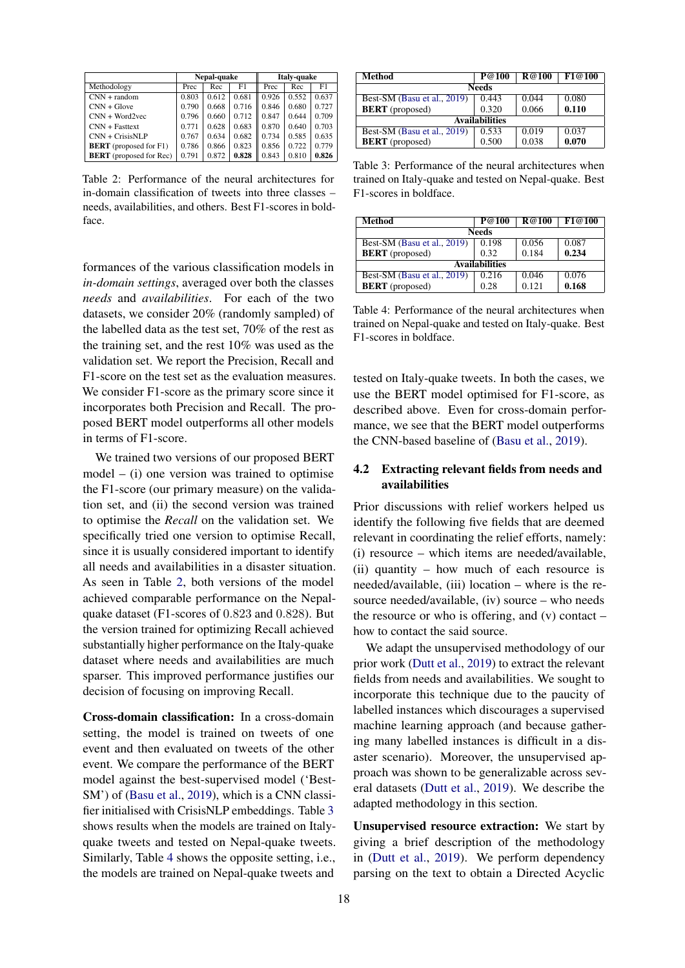<span id="page-3-0"></span>

|                                | Nepal-quake |       |       |       | Italy-quake |       |  |
|--------------------------------|-------------|-------|-------|-------|-------------|-------|--|
| Methodology                    | Prec        | Rec   | F1    | Prec  | Rec         | F1    |  |
| $CNN + random$                 | 0.803       | 0.612 | 0.681 | 0.926 | 0.552       | 0.637 |  |
| $CNN + f$                      | 0.790       | 0.668 | 0.716 | 0.846 | 0.680       | 0.727 |  |
| $CNN + Word2vec$               | 0.796       | 0.660 | 0.712 | 0.847 | 0.644       | 0.709 |  |
| $CNN + Fasttext$               | 0.771       | 0.628 | 0.683 | 0.870 | 0.640       | 0.703 |  |
| $CNN + CrisisNLP$              | 0.767       | 0.634 | 0.682 | 0.734 | 0.585       | 0.635 |  |
| <b>BERT</b> (proposed for F1)  | 0.786       | 0.866 | 0.823 | 0.856 | 0.722       | 0.779 |  |
| <b>BERT</b> (proposed for Rec) | 0.791       | 0.872 | 0.828 | 0.843 | 0.810       | 0.826 |  |

Table 2: Performance of the neural architectures for in-domain classification of tweets into three classes – needs, availabilities, and others. Best F1-scores in boldface.

formances of the various classification models in *in-domain settings*, averaged over both the classes *needs* and *availabilities*. For each of the two datasets, we consider 20% (randomly sampled) of the labelled data as the test set, 70% of the rest as the training set, and the rest 10% was used as the validation set. We report the Precision, Recall and F1-score on the test set as the evaluation measures. We consider F1-score as the primary score since it incorporates both Precision and Recall. The proposed BERT model outperforms all other models in terms of F1-score.

We trained two versions of our proposed BERT  $model - (i)$  one version was trained to optimise the F1-score (our primary measure) on the validation set, and (ii) the second version was trained to optimise the *Recall* on the validation set. We specifically tried one version to optimise Recall, since it is usually considered important to identify all needs and availabilities in a disaster situation. As seen in Table [2,](#page-3-0) both versions of the model achieved comparable performance on the Nepalquake dataset (F1-scores of 0.823 and 0.828). But the version trained for optimizing Recall achieved substantially higher performance on the Italy-quake dataset where needs and availabilities are much sparser. This improved performance justifies our decision of focusing on improving Recall.

Cross-domain classification: In a cross-domain setting, the model is trained on tweets of one event and then evaluated on tweets of the other event. We compare the performance of the BERT model against the best-supervised model ('Best-SM') of [\(Basu et al.,](#page-8-16) [2019\)](#page-8-16), which is a CNN classifier initialised with CrisisNLP embeddings. Table [3](#page-3-1) shows results when the models are trained on Italyquake tweets and tested on Nepal-quake tweets. Similarly, Table [4](#page-3-2) shows the opposite setting, i.e., the models are trained on Nepal-quake tweets and

<span id="page-3-1"></span>

| Method                      | P@100 | <b>R</b> @100 | F1@100 |  |  |
|-----------------------------|-------|---------------|--------|--|--|
| <b>Needs</b>                |       |               |        |  |  |
| Best-SM (Basu et al., 2019) | 0.443 | 0.044         | 0.080  |  |  |
| <b>BERT</b> (proposed)      | 0.320 | 0.066         | 0.110  |  |  |
| <b>Availabilities</b>       |       |               |        |  |  |
| Best-SM (Basu et al., 2019) | 0.533 | 0.019         | 0.037  |  |  |
| <b>BERT</b> (proposed)      | 0.500 | 0.038         | 0.070  |  |  |

Table 3: Performance of the neural architectures when trained on Italy-quake and tested on Nepal-quake. Best F1-scores in boldface.

<span id="page-3-2"></span>

| Method                      | P@100 | <b>R@100</b> | F1@100 |  |  |
|-----------------------------|-------|--------------|--------|--|--|
| <b>Needs</b>                |       |              |        |  |  |
| Best-SM (Basu et al., 2019) | 0.198 | 0.056        | 0.087  |  |  |
| <b>BERT</b> (proposed)      | 0.32  | 0.184        | 0.234  |  |  |
| <b>Availabilities</b>       |       |              |        |  |  |
| Best-SM (Basu et al., 2019) | 0.216 | 0.046        | 0.076  |  |  |
| <b>BERT</b> (proposed)      | 0.28  | 0.121        | 0.168  |  |  |

Table 4: Performance of the neural architectures when trained on Nepal-quake and tested on Italy-quake. Best F1-scores in boldface.

tested on Italy-quake tweets. In both the cases, we use the BERT model optimised for F1-score, as described above. Even for cross-domain performance, we see that the BERT model outperforms the CNN-based baseline of [\(Basu et al.,](#page-8-16) [2019\)](#page-8-16).

## 4.2 Extracting relevant fields from needs and availabilities

Prior discussions with relief workers helped us identify the following five fields that are deemed relevant in coordinating the relief efforts, namely: (i) resource – which items are needed/available, (ii) quantity – how much of each resource is needed/available, (iii) location – where is the resource needed/available, (iv) source – who needs the resource or who is offering, and  $(v)$  contact – how to contact the said source.

We adapt the unsupervised methodology of our prior work [\(Dutt et al.,](#page-8-2) [2019\)](#page-8-2) to extract the relevant fields from needs and availabilities. We sought to incorporate this technique due to the paucity of labelled instances which discourages a supervised machine learning approach (and because gathering many labelled instances is difficult in a disaster scenario). Moreover, the unsupervised approach was shown to be generalizable across several datasets [\(Dutt et al.,](#page-8-2) [2019\)](#page-8-2). We describe the adapted methodology in this section.

Unsupervised resource extraction: We start by giving a brief description of the methodology in [\(Dutt et al.,](#page-8-2) [2019\)](#page-8-2). We perform dependency parsing on the text to obtain a Directed Acyclic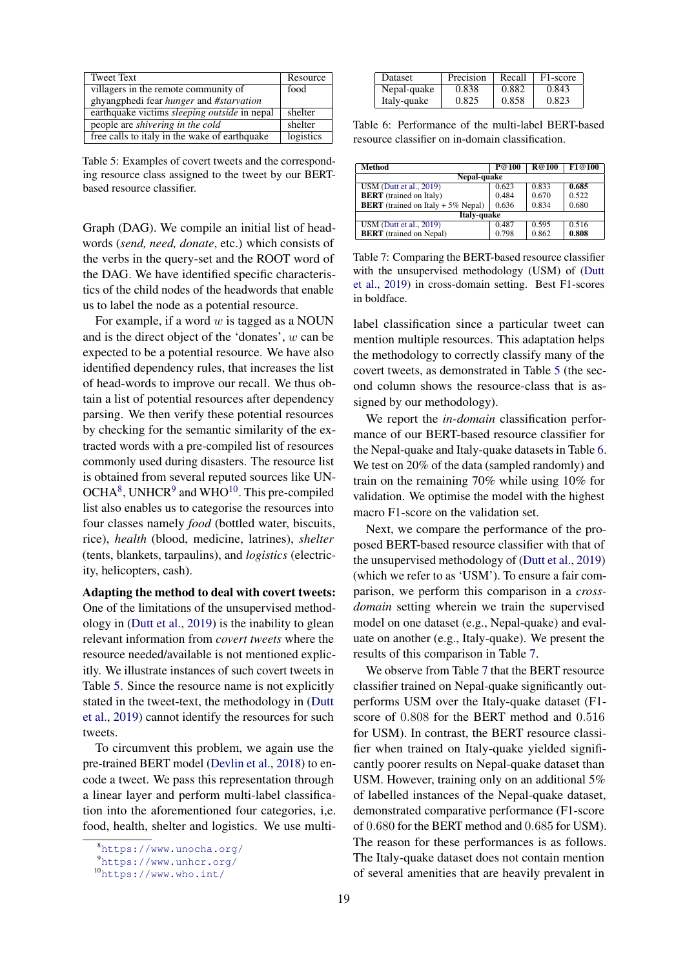<span id="page-4-3"></span>

| <b>Tweet Text</b>                              | Resource  |
|------------------------------------------------|-----------|
| villagers in the remote community of           | food      |
| ghyangphedi fear <i>hunger</i> and #starvation |           |
| earthquake victims sleeping outside in nepal   | shelter   |
| people are <i>shivering</i> in the cold        | shelter   |
| free calls to italy in the wake of earthquake  | logistics |

Table 5: Examples of covert tweets and the corresponding resource class assigned to the tweet by our BERTbased resource classifier.

Graph (DAG). We compile an initial list of headwords (*send, need, donate*, etc.) which consists of the verbs in the query-set and the ROOT word of the DAG. We have identified specific characteristics of the child nodes of the headwords that enable us to label the node as a potential resource.

For example, if a word  $w$  is tagged as a NOUN and is the direct object of the 'donates', w can be expected to be a potential resource. We have also identified dependency rules, that increases the list of head-words to improve our recall. We thus obtain a list of potential resources after dependency parsing. We then verify these potential resources by checking for the semantic similarity of the extracted words with a pre-compiled list of resources commonly used during disasters. The resource list is obtained from several reputed sources like UN- $OCHA<sup>8</sup>$  $OCHA<sup>8</sup>$  $OCHA<sup>8</sup>$ , UNHCR<sup>[9](#page-4-1)</sup> and WHO<sup>[10](#page-4-2)</sup>. This pre-compiled list also enables us to categorise the resources into four classes namely *food* (bottled water, biscuits, rice), *health* (blood, medicine, latrines), *shelter* (tents, blankets, tarpaulins), and *logistics* (electricity, helicopters, cash).

Adapting the method to deal with covert tweets: One of the limitations of the unsupervised methodology in [\(Dutt et al.,](#page-8-2) [2019\)](#page-8-2) is the inability to glean relevant information from *covert tweets* where the resource needed/available is not mentioned explicitly. We illustrate instances of such covert tweets in Table [5.](#page-4-3) Since the resource name is not explicitly stated in the tweet-text, the methodology in [\(Dutt](#page-8-2) [et al.,](#page-8-2) [2019\)](#page-8-2) cannot identify the resources for such tweets.

To circumvent this problem, we again use the pre-trained BERT model [\(Devlin et al.,](#page-8-21) [2018\)](#page-8-21) to encode a tweet. We pass this representation through a linear layer and perform multi-label classification into the aforementioned four categories, i,e. food, health, shelter and logistics. We use multi-

<span id="page-4-4"></span>

| <b>Dataset</b> | Precision | Recall | F1-score |
|----------------|-----------|--------|----------|
| Nepal-quake    | 0.838     | 0.882  | 0.843    |
| Italy-quake    | 0.825     | 0.858  | 0.823    |

Table 6: Performance of the multi-label BERT-based resource classifier on in-domain classification.

<span id="page-4-5"></span>

| <b>Method</b>                               | P@100 | <b>R</b> @100 | F1@100 |  |  |
|---------------------------------------------|-------|---------------|--------|--|--|
| Nepal-quake                                 |       |               |        |  |  |
| USM (Dutt et al., 2019)                     | 0.623 | 0.833         | 0.685  |  |  |
| <b>BERT</b> (trained on Italy)              | 0.484 | 0.670         | 0.522  |  |  |
| <b>BERT</b> (trained on Italy $+5\%$ Nepal) | 0.636 | 0.834         | 0.680  |  |  |
| Italy-quake                                 |       |               |        |  |  |
| USM (Dutt et al., 2019)                     | 0.487 | 0.595         | 0.516  |  |  |
| <b>BERT</b> (trained on Nepal)              | 0.798 | 0.862         | 0.808  |  |  |

Table 7: Comparing the BERT-based resource classifier with the unsupervised methodology (USM) of [\(Dutt](#page-8-2) [et al.,](#page-8-2) [2019\)](#page-8-2) in cross-domain setting. Best F1-scores in boldface.

label classification since a particular tweet can mention multiple resources. This adaptation helps the methodology to correctly classify many of the covert tweets, as demonstrated in Table [5](#page-4-3) (the second column shows the resource-class that is assigned by our methodology).

We report the *in-domain* classification performance of our BERT-based resource classifier for the Nepal-quake and Italy-quake datasets in Table [6.](#page-4-4) We test on 20% of the data (sampled randomly) and train on the remaining 70% while using 10% for validation. We optimise the model with the highest macro F1-score on the validation set.

Next, we compare the performance of the proposed BERT-based resource classifier with that of the unsupervised methodology of [\(Dutt et al.,](#page-8-2) [2019\)](#page-8-2) (which we refer to as 'USM'). To ensure a fair comparison, we perform this comparison in a *crossdomain* setting wherein we train the supervised model on one dataset (e.g., Nepal-quake) and evaluate on another (e.g., Italy-quake). We present the results of this comparison in Table [7.](#page-4-5)

We observe from Table [7](#page-4-5) that the BERT resource classifier trained on Nepal-quake significantly outperforms USM over the Italy-quake dataset (F1 score of 0.808 for the BERT method and 0.516 for USM). In contrast, the BERT resource classifier when trained on Italy-quake yielded significantly poorer results on Nepal-quake dataset than USM. However, training only on an additional 5% of labelled instances of the Nepal-quake dataset, demonstrated comparative performance (F1-score of 0.680 for the BERT method and 0.685 for USM). The reason for these performances is as follows. The Italy-quake dataset does not contain mention of several amenities that are heavily prevalent in

<span id="page-4-0"></span><sup>8</sup><https://www.unocha.org/>

<span id="page-4-1"></span><sup>9</sup><https://www.unhcr.org/>

<span id="page-4-2"></span><sup>10</sup><https://www.who.int/>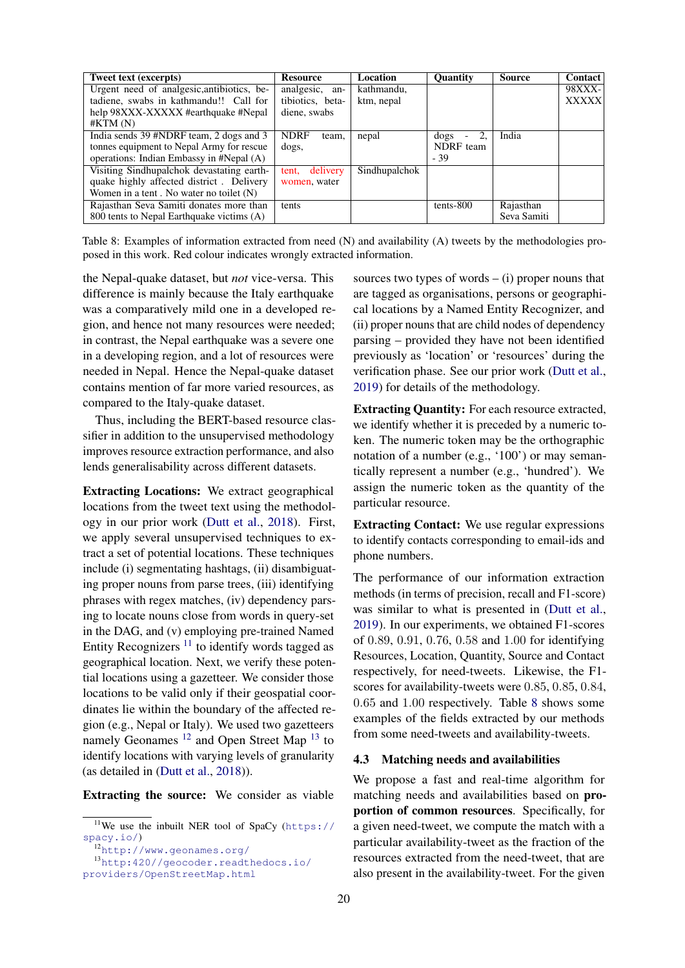<span id="page-5-3"></span>

| Tweet text (excerpts)                      | <b>Resource</b>      | Location      | <b>Ouantity</b>                        | Source      | <b>Contact</b> |
|--------------------------------------------|----------------------|---------------|----------------------------------------|-------------|----------------|
| Urgent need of analgesic, antibiotics, be- | analgesic, an-       | kathmandu,    |                                        |             | <b>98XXX-</b>  |
| tadiene, swabs in kathmandu!! Call for     | tibiotics, beta-     | ktm, nepal    |                                        |             | <b>XXXXX</b>   |
| help 98XXX-XXXXX #earthquake #Nepal        | diene, swabs         |               |                                        |             |                |
| #KTM(N)                                    |                      |               |                                        |             |                |
| India sends 39 #NDRF team, 2 dogs and 3    | <b>NDRF</b><br>team. | nepal         | 2.<br>dogs<br>$\overline{\phantom{a}}$ | India       |                |
| tonnes equipment to Nepal Army for rescue  | dogs,                |               | NDRF team                              |             |                |
| operations: Indian Embassy in #Nepal (A)   |                      |               | $-39$                                  |             |                |
| Visiting Sindhupalchok devastating earth-  | delivery<br>tent.    | Sindhupalchok |                                        |             |                |
| quake highly affected district. Delivery   | women, water         |               |                                        |             |                |
| Women in a tent. No water no toilet $(N)$  |                      |               |                                        |             |                |
| Rajasthan Seva Samiti donates more than    | tents                |               | tents-800                              | Rajasthan   |                |
| 800 tents to Nepal Earthquake victims (A)  |                      |               |                                        | Seva Samiti |                |

Table 8: Examples of information extracted from need (N) and availability (A) tweets by the methodologies proposed in this work. Red colour indicates wrongly extracted information.

the Nepal-quake dataset, but *not* vice-versa. This difference is mainly because the Italy earthquake was a comparatively mild one in a developed region, and hence not many resources were needed; in contrast, the Nepal earthquake was a severe one in a developing region, and a lot of resources were needed in Nepal. Hence the Nepal-quake dataset contains mention of far more varied resources, as compared to the Italy-quake dataset.

Thus, including the BERT-based resource classifier in addition to the unsupervised methodology improves resource extraction performance, and also lends generalisability across different datasets.

Extracting Locations: We extract geographical locations from the tweet text using the methodology in our prior work [\(Dutt et al.,](#page-8-4) [2018\)](#page-8-4). First, we apply several unsupervised techniques to extract a set of potential locations. These techniques include (i) segmentating hashtags, (ii) disambiguating proper nouns from parse trees, (iii) identifying phrases with regex matches, (iv) dependency parsing to locate nouns close from words in query-set in the DAG, and (v) employing pre-trained Named Entity Recognizers  $11$  to identify words tagged as geographical location. Next, we verify these potential locations using a gazetteer. We consider those locations to be valid only if their geospatial coordinates lie within the boundary of the affected region (e.g., Nepal or Italy). We used two gazetteers namely Geonames<sup>[12](#page-5-1)</sup> and Open Street Map<sup>[13](#page-5-2)</sup> to identify locations with varying levels of granularity (as detailed in [\(Dutt et al.,](#page-8-4) [2018\)](#page-8-4)).

Extracting the source: We consider as viable

sources two types of words  $-$  (i) proper nouns that are tagged as organisations, persons or geographical locations by a Named Entity Recognizer, and (ii) proper nouns that are child nodes of dependency parsing – provided they have not been identified previously as 'location' or 'resources' during the verification phase. See our prior work [\(Dutt et al.,](#page-8-2) [2019\)](#page-8-2) for details of the methodology.

Extracting Quantity: For each resource extracted, we identify whether it is preceded by a numeric token. The numeric token may be the orthographic notation of a number (e.g., '100') or may semantically represent a number (e.g., 'hundred'). We assign the numeric token as the quantity of the particular resource.

Extracting Contact: We use regular expressions to identify contacts corresponding to email-ids and phone numbers.

The performance of our information extraction methods (in terms of precision, recall and F1-score) was similar to what is presented in [\(Dutt et al.,](#page-8-2) [2019\)](#page-8-2). In our experiments, we obtained F1-scores of 0.89, 0.91, 0.76, 0.58 and 1.00 for identifying Resources, Location, Quantity, Source and Contact respectively, for need-tweets. Likewise, the F1 scores for availability-tweets were 0.85, 0.85, 0.84, 0.65 and 1.00 respectively. Table [8](#page-5-3) shows some examples of the fields extracted by our methods from some need-tweets and availability-tweets.

#### 4.3 Matching needs and availabilities

We propose a fast and real-time algorithm for matching needs and availabilities based on proportion of common resources. Specifically, for a given need-tweet, we compute the match with a particular availability-tweet as the fraction of the resources extracted from the need-tweet, that are also present in the availability-tweet. For the given

<span id="page-5-0"></span><sup>&</sup>lt;sup>11</sup>We use the inbuilt NER tool of SpaCy ([https://](https://spacy.io/) [spacy.io/](https://spacy.io/))

<span id="page-5-2"></span><span id="page-5-1"></span><sup>12</sup><http://www.geonames.org/>

<sup>13</sup>[http:420//geocoder.readthedocs.io/](http:420//geocoder.readthedocs.io/providers/OpenStreetMap.html) [providers/OpenStreetMap.html](http:420//geocoder.readthedocs.io/providers/OpenStreetMap.html)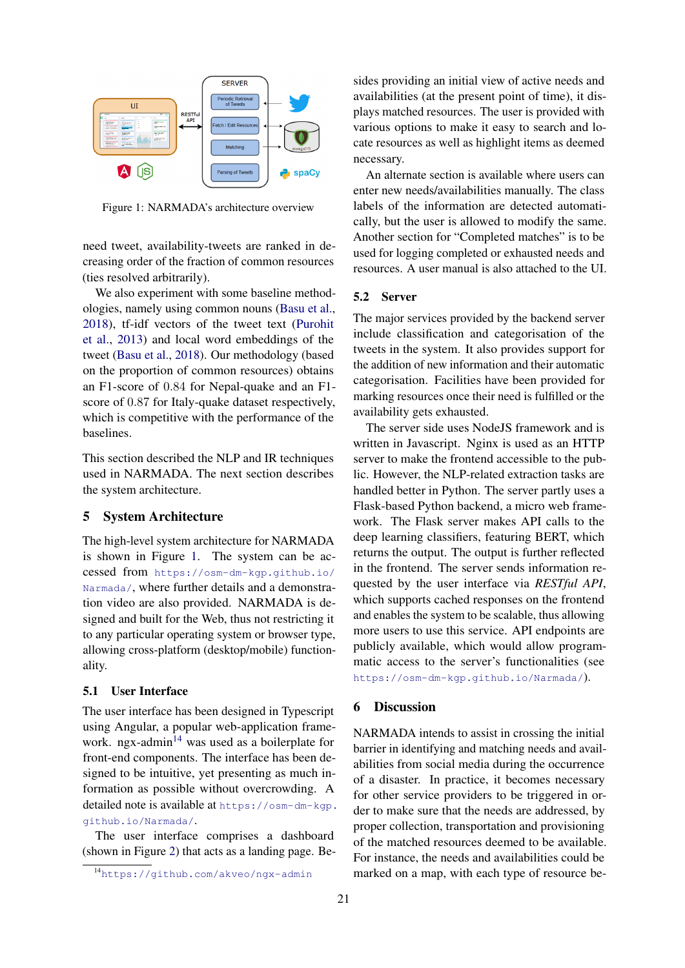<span id="page-6-0"></span>

Figure 1: NARMADA's architecture overview

need tweet, availability-tweets are ranked in decreasing order of the fraction of common resources (ties resolved arbitrarily).

We also experiment with some baseline methodologies, namely using common nouns [\(Basu et al.,](#page-8-13) [2018\)](#page-8-13), tf-idf vectors of the tweet text [\(Purohit](#page-9-7) [et al.,](#page-9-7) [2013\)](#page-9-7) and local word embeddings of the tweet [\(Basu et al.,](#page-8-13) [2018\)](#page-8-13). Our methodology (based on the proportion of common resources) obtains an F1-score of 0.84 for Nepal-quake and an F1 score of 0.87 for Italy-quake dataset respectively, which is competitive with the performance of the baselines.

This section described the NLP and IR techniques used in NARMADA. The next section describes the system architecture.

### 5 System Architecture

The high-level system architecture for NARMADA is shown in Figure [1.](#page-6-0) The system can be accessed from [https://osm-dm-kgp.github.io/](https://osm-dm-kgp.github.io/Narmada/) [Narmada/](https://osm-dm-kgp.github.io/Narmada/), where further details and a demonstration video are also provided. NARMADA is designed and built for the Web, thus not restricting it to any particular operating system or browser type, allowing cross-platform (desktop/mobile) functionality.

### 5.1 User Interface

The user interface has been designed in Typescript using Angular, a popular web-application frame-work. ngx-admin<sup>[14](#page-6-1)</sup> was used as a boilerplate for front-end components. The interface has been designed to be intuitive, yet presenting as much information as possible without overcrowding. A detailed note is available at [https://osm-dm-kgp.](https://osm-dm-kgp.github.io/Narmada/) [github.io/Narmada/](https://osm-dm-kgp.github.io/Narmada/).

The user interface comprises a dashboard (shown in Figure [2\)](#page-7-0) that acts as a landing page. Besides providing an initial view of active needs and availabilities (at the present point of time), it displays matched resources. The user is provided with various options to make it easy to search and locate resources as well as highlight items as deemed necessary.

An alternate section is available where users can enter new needs/availabilities manually. The class labels of the information are detected automatically, but the user is allowed to modify the same. Another section for "Completed matches" is to be used for logging completed or exhausted needs and resources. A user manual is also attached to the UI.

#### 5.2 Server

The major services provided by the backend server include classification and categorisation of the tweets in the system. It also provides support for the addition of new information and their automatic categorisation. Facilities have been provided for marking resources once their need is fulfilled or the availability gets exhausted.

The server side uses NodeJS framework and is written in Javascript. Nginx is used as an HTTP server to make the frontend accessible to the public. However, the NLP-related extraction tasks are handled better in Python. The server partly uses a Flask-based Python backend, a micro web framework. The Flask server makes API calls to the deep learning classifiers, featuring BERT, which returns the output. The output is further reflected in the frontend. The server sends information requested by the user interface via *RESTful API*, which supports cached responses on the frontend and enables the system to be scalable, thus allowing more users to use this service. API endpoints are publicly available, which would allow programmatic access to the server's functionalities (see <https://osm-dm-kgp.github.io/Narmada/>).

#### 6 Discussion

NARMADA intends to assist in crossing the initial barrier in identifying and matching needs and availabilities from social media during the occurrence of a disaster. In practice, it becomes necessary for other service providers to be triggered in order to make sure that the needs are addressed, by proper collection, transportation and provisioning of the matched resources deemed to be available. For instance, the needs and availabilities could be marked on a map, with each type of resource be-

<span id="page-6-1"></span><sup>14</sup><https://github.com/akveo/ngx-admin>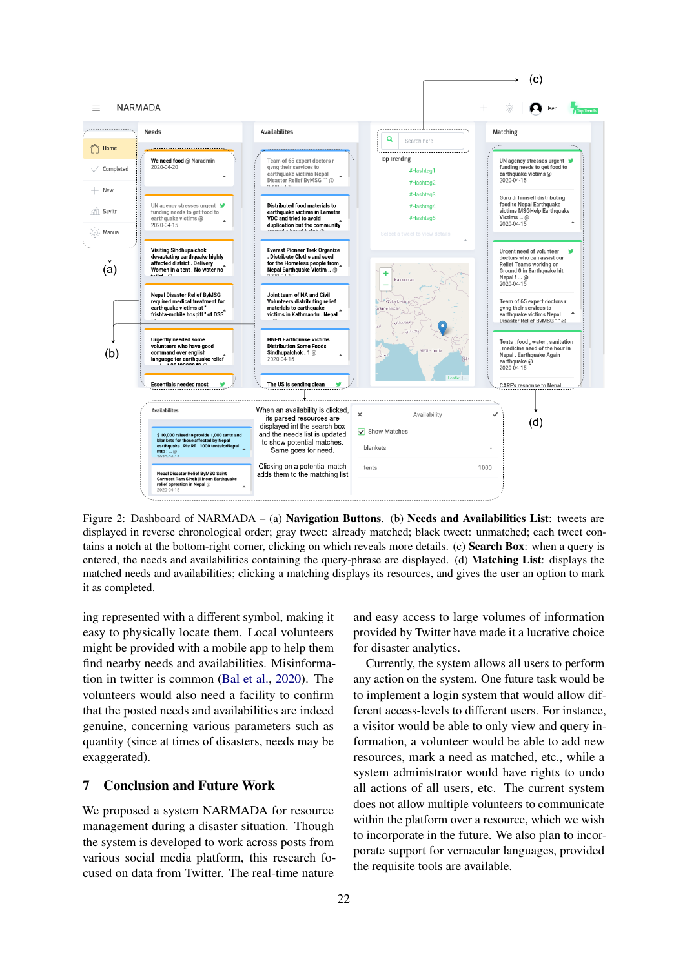<span id="page-7-0"></span>

Figure 2: Dashboard of NARMADA – (a) Navigation Buttons. (b) Needs and Availabilities List: tweets are displayed in reverse chronological order; gray tweet: already matched; black tweet: unmatched; each tweet contains a notch at the bottom-right corner, clicking on which reveals more details. (c) Search Box: when a query is entered, the needs and availabilities containing the query-phrase are displayed. (d) Matching List: displays the matched needs and availabilities; clicking a matching displays its resources, and gives the user an option to mark it as completed.

ing represented with a different symbol, making it easy to physically locate them. Local volunteers might be provided with a mobile app to help them find nearby needs and availabilities. Misinformation in twitter is common [\(Bal et al.,](#page-8-22) [2020\)](#page-8-22). The volunteers would also need a facility to confirm that the posted needs and availabilities are indeed genuine, concerning various parameters such as quantity (since at times of disasters, needs may be exaggerated).

# 7 Conclusion and Future Work

We proposed a system NARMADA for resource management during a disaster situation. Though the system is developed to work across posts from various social media platform, this research focused on data from Twitter. The real-time nature

and easy access to large volumes of information provided by Twitter have made it a lucrative choice for disaster analytics.

Currently, the system allows all users to perform any action on the system. One future task would be to implement a login system that would allow different access-levels to different users. For instance, a visitor would be able to only view and query information, a volunteer would be able to add new resources, mark a need as matched, etc., while a system administrator would have rights to undo all actions of all users, etc. The current system does not allow multiple volunteers to communicate within the platform over a resource, which we wish to incorporate in the future. We also plan to incorporate support for vernacular languages, provided the requisite tools are available.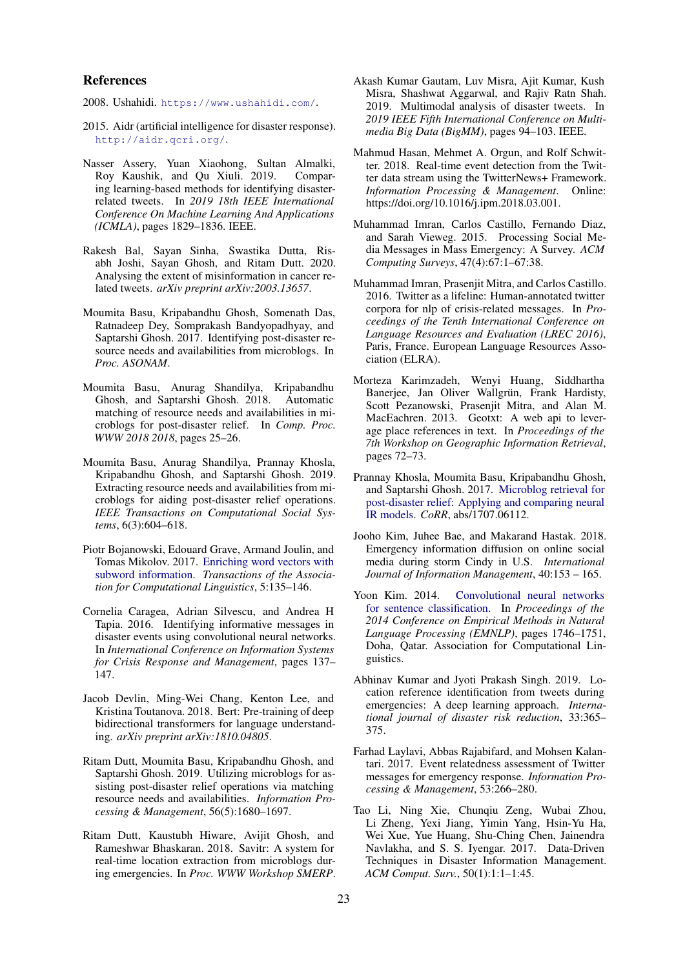#### References

<span id="page-8-15"></span>2008. Ushahidi. <https://www.ushahidi.com/>.

- <span id="page-8-14"></span>2015. Aidr (artificial intelligence for disaster response). <http://aidr.qcri.org/>.
- <span id="page-8-10"></span>Nasser Assery, Yuan Xiaohong, Sultan Almalki, Roy Kaushik, and Qu Xiuli. 2019. Comparing learning-based methods for identifying disasterrelated tweets. In *2019 18th IEEE International Conference On Machine Learning And Applications (ICMLA)*, pages 1829–1836. IEEE.
- <span id="page-8-22"></span>Rakesh Bal, Sayan Sinha, Swastika Dutta, Risabh Joshi, Sayan Ghosh, and Ritam Dutt. 2020. Analysing the extent of misinformation in cancer related tweets. *arXiv preprint arXiv:2003.13657*.
- <span id="page-8-11"></span>Moumita Basu, Kripabandhu Ghosh, Somenath Das, Ratnadeep Dey, Somprakash Bandyopadhyay, and Saptarshi Ghosh. 2017. Identifying post-disaster resource needs and availabilities from microblogs. In *Proc. ASONAM*.
- <span id="page-8-13"></span>Moumita Basu, Anurag Shandilya, Kripabandhu Ghosh, and Saptarshi Ghosh. 2018. Automatic matching of resource needs and availabilities in microblogs for post-disaster relief. In *Comp. Proc. WWW 2018 2018*, pages 25–26.
- <span id="page-8-16"></span>Moumita Basu, Anurag Shandilya, Prannay Khosla, Kripabandhu Ghosh, and Saptarshi Ghosh. 2019. Extracting resource needs and availabilities from microblogs for aiding post-disaster relief operations. *IEEE Transactions on Computational Social Systems*, 6(3):604–618.
- <span id="page-8-19"></span>Piotr Bojanowski, Edouard Grave, Armand Joulin, and Tomas Mikolov. 2017. [Enriching word vectors with](https://doi.org/10.1162/tacl_a_00051) [subword information.](https://doi.org/10.1162/tacl_a_00051) *Transactions of the Association for Computational Linguistics*, 5:135–146.
- <span id="page-8-17"></span>Cornelia Caragea, Adrian Silvescu, and Andrea H Tapia. 2016. Identifying informative messages in disaster events using convolutional neural networks. In *International Conference on Information Systems for Crisis Response and Management*, pages 137– 147.
- <span id="page-8-21"></span>Jacob Devlin, Ming-Wei Chang, Kenton Lee, and Kristina Toutanova. 2018. Bert: Pre-training of deep bidirectional transformers for language understanding. *arXiv preprint arXiv:1810.04805*.
- <span id="page-8-2"></span>Ritam Dutt, Moumita Basu, Kripabandhu Ghosh, and Saptarshi Ghosh. 2019. Utilizing microblogs for assisting post-disaster relief operations via matching resource needs and availabilities. *Information Processing & Management*, 56(5):1680–1697.
- <span id="page-8-4"></span>Ritam Dutt, Kaustubh Hiware, Avijit Ghosh, and Rameshwar Bhaskaran. 2018. Savitr: A system for real-time location extraction from microblogs during emergencies. In *Proc. WWW Workshop SMERP*.
- <span id="page-8-9"></span>Akash Kumar Gautam, Luv Misra, Ajit Kumar, Kush Misra, Shashwat Aggarwal, and Rajiv Ratn Shah. 2019. Multimodal analysis of disaster tweets. In *2019 IEEE Fifth International Conference on Multimedia Big Data (BigMM)*, pages 94–103. IEEE.
- <span id="page-8-7"></span>Mahmud Hasan, Mehmet A. Orgun, and Rolf Schwitter. 2018. Real-time event detection from the Twitter data stream using the TwitterNews+ Framework. *Information Processing & Management*. Online: https://doi.org/10.1016/j.ipm.2018.03.001.
- <span id="page-8-0"></span>Muhammad Imran, Carlos Castillo, Fernando Diaz, and Sarah Vieweg. 2015. Processing Social Media Messages in Mass Emergency: A Survey. *ACM Computing Surveys*, 47(4):67:1–67:38.
- <span id="page-8-20"></span>Muhammad Imran, Prasenjit Mitra, and Carlos Castillo. 2016. Twitter as a lifeline: Human-annotated twitter corpora for nlp of crisis-related messages. In *Proceedings of the Tenth International Conference on Language Resources and Evaluation (LREC 2016)*, Paris, France. European Language Resources Association (ELRA).
- <span id="page-8-3"></span>Morteza Karimzadeh, Wenyi Huang, Siddhartha Banerjee, Jan Oliver Wallgrün, Frank Hardisty, Scott Pezanowski, Prasenjit Mitra, and Alan M. MacEachren. 2013. Geotxt: A web api to leverage place references in text. In *Proceedings of the 7th Workshop on Geographic Information Retrieval*, pages 72–73.
- <span id="page-8-12"></span>Prannay Khosla, Moumita Basu, Kripabandhu Ghosh, and Saptarshi Ghosh. 2017. [Microblog retrieval for](http://arxiv.org/abs/1707.06112) [post-disaster relief: Applying and comparing neural](http://arxiv.org/abs/1707.06112) [IR models.](http://arxiv.org/abs/1707.06112) *CoRR*, abs/1707.06112.
- <span id="page-8-6"></span>Jooho Kim, Juhee Bae, and Makarand Hastak. 2018. Emergency information diffusion on online social media during storm Cindy in U.S. *International Journal of Information Management*, 40:153 – 165.
- <span id="page-8-18"></span>Yoon Kim. 2014. [Convolutional neural networks](https://doi.org/10.3115/v1/D14-1181) [for sentence classification.](https://doi.org/10.3115/v1/D14-1181) In *Proceedings of the 2014 Conference on Empirical Methods in Natural Language Processing (EMNLP)*, pages 1746–1751, Doha, Qatar. Association for Computational Linguistics.
- <span id="page-8-5"></span>Abhinav Kumar and Jyoti Prakash Singh. 2019. Location reference identification from tweets during emergencies: A deep learning approach. *International journal of disaster risk reduction*, 33:365– 375.
- <span id="page-8-8"></span>Farhad Laylavi, Abbas Rajabifard, and Mohsen Kalantari. 2017. Event relatedness assessment of Twitter messages for emergency response. *Information Processing & Management*, 53:266–280.
- <span id="page-8-1"></span>Tao Li, Ning Xie, Chunqiu Zeng, Wubai Zhou, Li Zheng, Yexi Jiang, Yimin Yang, Hsin-Yu Ha, Wei Xue, Yue Huang, Shu-Ching Chen, Jainendra Navlakha, and S. S. Iyengar. 2017. Data-Driven Techniques in Disaster Information Management. *ACM Comput. Surv.*, 50(1):1:1–1:45.